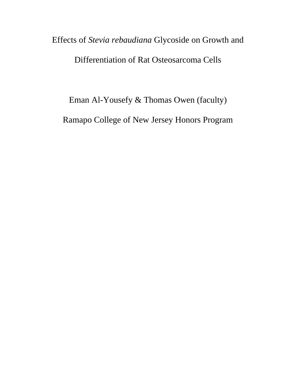## Effects of *Stevia rebaudiana* Glycoside on Growth and Differentiation of Rat Osteosarcoma Cells

Eman Al-Yousefy & Thomas Owen (faculty) Ramapo College of New Jersey Honors Program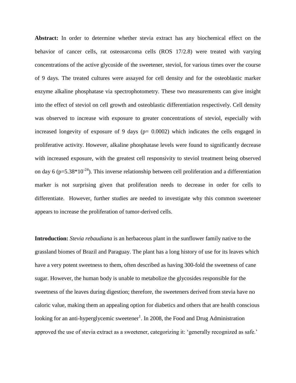**Abstract:** In order to determine whether stevia extract has any biochemical effect on the behavior of cancer cells, rat osteosarcoma cells (ROS 17/2.8) were treated with varying concentrations of the active glycoside of the sweetener, steviol, for various times over the course of 9 days. The treated cultures were assayed for cell density and for the osteoblastic marker enzyme alkaline phosphatase via spectrophotometry. These two measurements can give insight into the effect of steviol on cell growth and osteoblastic differentiation respectively. Cell density was observed to increase with exposure to greater concentrations of steviol, especially with increased longevity of exposure of 9 days ( $p= 0.0002$ ) which indicates the cells engaged in proliferative activity. However, alkaline phosphatase levels were found to significantly decrease with increased exposure, with the greatest cell responsivity to steviol treatment being observed on day 6 ( $p=5.38*10^{-24}$ ). This inverse relationship between cell proliferation and a differentiation marker is not surprising given that proliferation needs to decrease in order for cells to differentiate. However, further studies are needed to investigate why this common sweetener appears to increase the proliferation of tumor-derived cells.

**Introduction:** *Stevia rebaudiana* is an herbaceous plant in the sunflower family native to the grassland biomes of Brazil and Paraguay. The plant has a long history of use for its leaves which have a very potent sweetness to them, often described as having 300-fold the sweetness of cane sugar. However, the human body is unable to metabolize the glycosides responsible for the sweetness of the leaves during digestion; therefore, the sweeteners derived from stevia have no caloric value, making them an appealing option for diabetics and others that are health conscious looking for an anti-hyperglycemic sweetener<sup>1</sup>. In 2008, the Food and Drug Administration approved the use of stevia extract as a sweetener, categorizing it: 'generally recognized as safe.'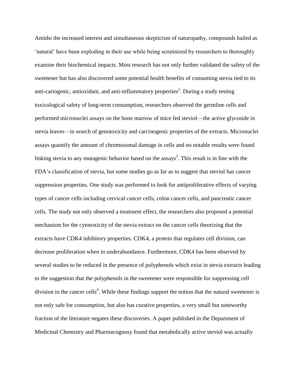Amidst the increased interest and simultaneous skepticism of naturopathy, compounds hailed as 'natural' have been exploding in their use while being scrutinized by researchers to thoroughly examine their biochemical impacts. Most research has not only further validated the safety of the sweetener but has also discovered some potential health benefits of consuming stevia tied to its anti-cariogenic, antioxidant, and anti-inflammatory properties<sup>2</sup>. During a study testing toxicological safety of long-term consumption, researchers observed the germline cells and performed micronuclei assays on the bone marrow of mice fed steviol—the active glycoside in stevia leaves—in search of genotoxicity and carcinogenic properties of the extracts. Micronuclei assays quantify the amount of chromosomal damage in cells and no notable results were found linking stevia to any mutagenic behavior based on the assays<sup>3</sup>. This result is in line with the FDA's classification of stevia, but some studies go as far as to suggest that steviol has cancer suppression properties. One study was performed to look for antiproliferative effects of varying types of cancer cells including cervical cancer cells, colon cancer cells, and pancreatic cancer cells. The study not only observed a treatment effect, the researchers also proposed a potential mechanism for the cytotoxicity of the stevia extract on the cancer cells theorizing that the extracts have CDK4 inhibitory properties. CDK4, a protein that regulates cell division, can decrease proliferation when in underabundance. Furthermore, CDK4 has been observed by several studies to be reduced in the presence of polyphenols which exist in stevia extracts leading to the suggestion that the polyphenols in the sweetener were responsible for suppressing cell division in the cancer cells<sup>4</sup>. While these findings support the notion that the natural sweetener is not only safe for consumption, but also has curative properties, a very small but noteworthy fraction of the literature negates these discoveries. A paper published in the Department of Medicinal Chemistry and Pharmacognosy found that metabolically active steviol was actually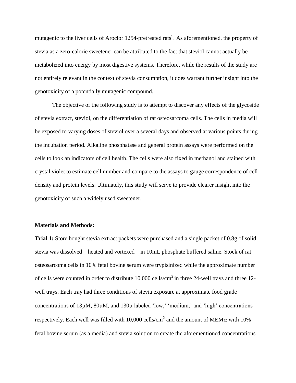mutagenic to the liver cells of Aroclor 1254-pretreated rats<sup>5</sup>. As aforementioned, the property of stevia as a zero-calorie sweetener can be attributed to the fact that steviol cannot actually be metabolized into energy by most digestive systems. Therefore, while the results of the study are not entirely relevant in the context of stevia consumption, it does warrant further insight into the genotoxicity of a potentially mutagenic compound.

The objective of the following study is to attempt to discover any effects of the glycoside of stevia extract, steviol, on the differentiation of rat osteosarcoma cells. The cells in media will be exposed to varying doses of steviol over a several days and observed at various points during the incubation period. Alkaline phosphatase and general protein assays were performed on the cells to look an indicators of cell health. The cells were also fixed in methanol and stained with crystal violet to estimate cell number and compare to the assays to gauge correspondence of cell density and protein levels. Ultimately, this study will serve to provide clearer insight into the genotoxicity of such a widely used sweetener.

## **Materials and Methods:**

**Trial 1:** Store bought stevia extract packets were purchased and a single packet of 0.8g of solid stevia was dissolved—heated and vortexed—in 10mL phosphate buffered saline. Stock of rat osteosarcoma cells in 10% fetal bovine serum were trypisinized while the approximate number of cells were counted in order to distribute  $10,000$  cells/cm<sup>2</sup> in three 24-well trays and three 12well trays. Each tray had three conditions of stevia exposure at approximate food grade concentrations of  $13\mu$ M,  $80\mu$ M, and  $130\mu$  labeled 'low,' 'medium,' and 'high' concentrations respectively. Each well was filled with 10,000 cells/cm<sup>2</sup> and the amount of MEM $\alpha$  with 10% fetal bovine serum (as a media) and stevia solution to create the aforementioned concentrations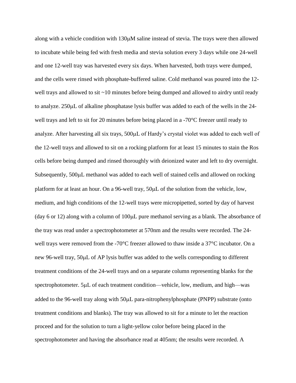along with a vehicle condition with  $130\mu$ M saline instead of stevia. The trays were then allowed to incubate while being fed with fresh media and stevia solution every 3 days while one 24-well and one 12-well tray was harvested every six days. When harvested, both trays were dumped, and the cells were rinsed with phosphate-buffered saline. Cold methanol was poured into the 12 well trays and allowed to sit ~10 minutes before being dumped and allowed to airdry until ready to analyze.  $250\mu L$  of alkaline phosphatase lysis buffer was added to each of the wells in the  $24$ well trays and left to sit for 20 minutes before being placed in a -70<sup>o</sup>C freezer until ready to analyze. After harvesting all six trays, 500µL of Hardy's crystal violet was added to each well of the 12-well trays and allowed to sit on a rocking platform for at least 15 minutes to stain the Ros cells before being dumped and rinsed thoroughly with deionized water and left to dry overnight. Subsequently, 500µL methanol was added to each well of stained cells and allowed on rocking platform for at least an hour. On a 96-well tray,  $50\mu L$  of the solution from the vehicle, low, medium, and high conditions of the 12-well trays were micropipetted, sorted by day of harvest (day 6 or 12) along with a column of  $100\mu L$  pure methanol serving as a blank. The absorbance of the tray was read under a spectrophotometer at 570nm and the results were recorded. The 24 well trays were removed from the -70°C freezer allowed to thaw inside a 37°C incubator. On a new 96-well tray, 50µL of AP lysis buffer was added to the wells corresponding to different treatment conditions of the 24-well trays and on a separate column representing blanks for the spectrophotometer. 5µL of each treatment condition—vehicle, low, medium, and high—was added to the 96-well tray along with  $50\mu$ L para-nitrophenylphosphate (PNPP) substrate (onto treatment conditions and blanks). The tray was allowed to sit for a minute to let the reaction proceed and for the solution to turn a light-yellow color before being placed in the spectrophotometer and having the absorbance read at 405nm; the results were recorded. A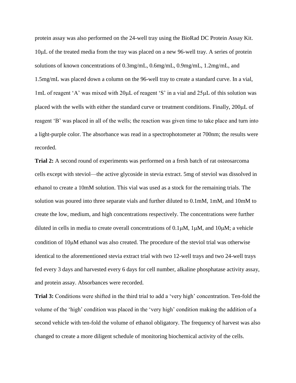protein assay was also performed on the 24-well tray using the BioRad DC Protein Assay Kit.  $10\mu$ L of the treated media from the tray was placed on a new 96-well tray. A series of protein solutions of known concentrations of 0.3mg/mL, 0.6mg/mL, 0.9mg/mL, 1.2mg/mL, and 1.5mg/mL was placed down a column on the 96-well tray to create a standard curve. In a vial, 1mL of reagent 'A' was mixed with  $20\mu$ L of reagent 'S' in a vial and  $25\mu$ L of this solution was placed with the wells with either the standard curve or treatment conditions. Finally,  $200\mu L$  of reagent 'B' was placed in all of the wells; the reaction was given time to take place and turn into a light-purple color. The absorbance was read in a spectrophotometer at 700nm; the results were recorded.

**Trial 2:** A second round of experiments was performed on a fresh batch of rat osteosarcoma cells except with steviol—the active glycoside in stevia extract. 5mg of steviol was dissolved in ethanol to create a 10mM solution. This vial was used as a stock for the remaining trials. The solution was poured into three separate vials and further diluted to 0.1mM, 1mM, and 10mM to create the low, medium, and high concentrations respectively. The concentrations were further diluted in cells in media to create overall concentrations of  $0.1\mu$ M,  $1\mu$ M, and  $10\mu$ M; a vehicle condition of 10 $\mu$ M ethanol was also created. The procedure of the steviol trial was otherwise identical to the aforementioned stevia extract trial with two 12-well trays and two 24-well trays fed every 3 days and harvested every 6 days for cell number, alkaline phosphatase activity assay, and protein assay. Absorbances were recorded.

**Trial 3:** Conditions were shifted in the third trial to add a 'very high' concentration. Ten-fold the volume of the 'high' condition was placed in the 'very high' condition making the addition of a second vehicle with ten-fold the volume of ethanol obligatory. The frequency of harvest was also changed to create a more diligent schedule of monitoring biochemical activity of the cells.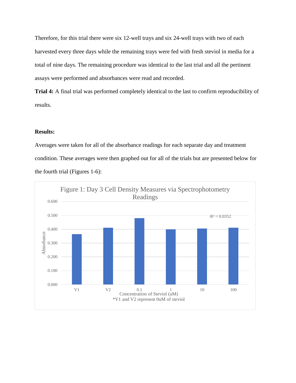Therefore, for this trial there were six 12-well trays and six 24-well trays with two of each harvested every three days while the remaining trays were fed with fresh steviol in media for a total of nine days. The remaining procedure was identical to the last trial and all the pertinent assays were performed and absorbances were read and recorded.

**Trial 4:** A final trial was performed completely identical to the last to confirm reproducibility of results.

## **Results:**

Averages were taken for all of the absorbance readings for each separate day and treatment condition. These averages were then graphed out for all of the trials but are presented below for the fourth trial (Figures 1-6):

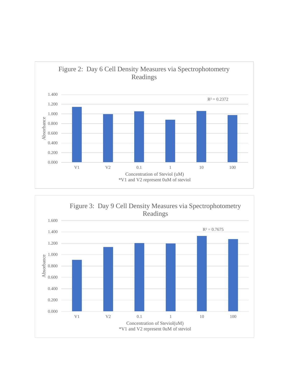

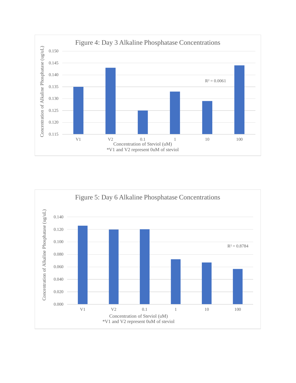

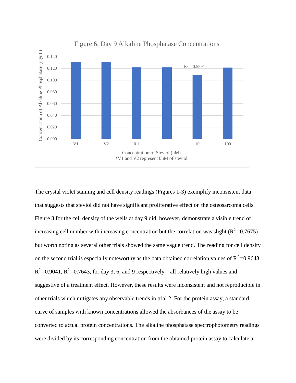

The crystal violet staining and cell density readings (Figures 1-3) exemplify inconsistent data that suggests that steviol did not have significant proliferative effect on the osteosarcoma cells. Figure 3 for the cell density of the wells at day 9 did, however, demonstrate a visible trend of increasing cell number with increasing concentration but the correlation was slight ( $R^2$ =0.7675) but worth noting as several other trials showed the same vague trend. The reading for cell density on the second trial is especially noteworthy as the data obtained correlation values of  $R^2$  =0.9643,  $R^2$  =0.9041,  $R^2$  =0.7643, for day 3, 6, and 9 respectively—all relatively high values and suggestive of a treatment effect. However, these results were inconsistent and not reproducible in other trials which mitigates any observable trends in trial 2. For the protein assay, a standard curve of samples with known concentrations allowed the absorbances of the assay to be converted to actual protein concentrations. The alkaline phosphatase spectrophotometry readings were divided by its corresponding concentration from the obtained protein assay to calculate a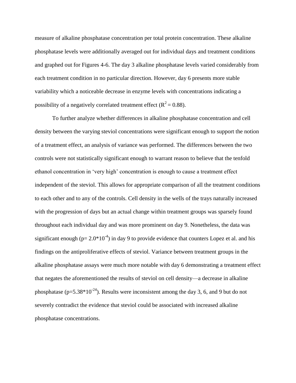measure of alkaline phosphatase concentration per total protein concentration. These alkaline phosphatase levels were additionally averaged out for individual days and treatment conditions and graphed out for Figures 4-6. The day 3 alkaline phosphatase levels varied considerably from each treatment condition in no particular direction. However, day 6 presents more stable variability which a noticeable decrease in enzyme levels with concentrations indicating a possibility of a negatively correlated treatment effect ( $R^2 = 0.88$ ).

To further analyze whether differences in alkaline phosphatase concentration and cell density between the varying steviol concentrations were significant enough to support the notion of a treatment effect, an analysis of variance was performed. The differences between the two controls were not statistically significant enough to warrant reason to believe that the tenfold ethanol concentration in 'very high' concentration is enough to cause a treatment effect independent of the steviol. This allows for appropriate comparison of all the treatment conditions to each other and to any of the controls. Cell density in the wells of the trays naturally increased with the progression of days but an actual change within treatment groups was sparsely found throughout each individual day and was more prominent on day 9. Nonetheless, the data was significant enough ( $p= 2.0*10^{-4}$ ) in day 9 to provide evidence that counters Lopez et al. and his findings on the antiproliferative effects of steviol. Variance between treatment groups in the alkaline phosphatase assays were much more notable with day 6 demonstrating a treatment effect that negates the aforementioned the results of steviol on cell density—a decrease in alkaline phosphatase ( $p=5.38*10^{-24}$ ). Results were inconsistent among the day 3, 6, and 9 but do not severely contradict the evidence that steviol could be associated with increased alkaline phosphatase concentrations.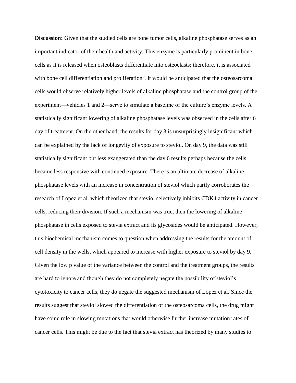**Discussion:** Given that the studied cells are bone tumor cells, alkaline phosphatase serves as an important indicator of their health and activity. This enzyme is particularly prominent in bone cells as it is released when osteoblasts differentiate into osteoclasts; therefore, it is associated with bone cell differentiation and proliferation<sup>6</sup>. It would be anticipated that the osteosarcoma cells would observe relatively higher levels of alkaline phosphatase and the control group of the experiment—vehicles 1 and 2—serve to simulate a baseline of the culture's enzyme levels. A statistically significant lowering of alkaline phosphatase levels was observed in the cells after 6 day of treatment. On the other hand, the results for day 3 is unsurprisingly insignificant which can be explained by the lack of longevity of exposure to steviol. On day 9, the data was still statistically significant but less exaggerated than the day 6 results perhaps because the cells became less responsive with continued exposure. There is an ultimate decrease of alkaline phosphatase levels with an increase in concentration of steviol which partly corroborates the research of Lopez et al. which theorized that steviol selectively inhibits CDK4 activity in cancer cells, reducing their division. If such a mechanism was true, then the lowering of alkaline phosphatase in cells exposed to stevia extract and its glycosides would be anticipated. However, this biochemical mechanism comes to question when addressing the results for the amount of cell density in the wells, which appeared to increase with higher exposure to steviol by day 9. Given the low p value of the variance between the control and the treatment groups, the results are hard to ignore and though they do not completely negate the possibility of steviol's cytotoxicity to cancer cells, they do negate the suggested mechanism of Lopez et al. Since the results suggest that steviol slowed the differentiation of the osteosarcoma cells, the drug might have some role in slowing mutations that would otherwise further increase mutation rates of cancer cells. This might be due to the fact that stevia extract has theorized by many studies to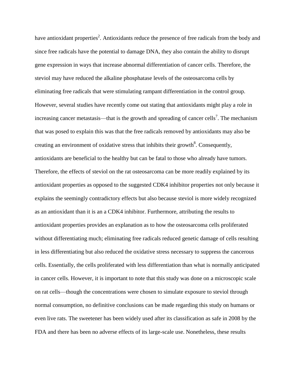have antioxidant properties<sup>2</sup>. Antioxidants reduce the presence of free radicals from the body and since free radicals have the potential to damage DNA, they also contain the ability to disrupt gene expression in ways that increase abnormal differentiation of cancer cells. Therefore, the steviol may have reduced the alkaline phosphatase levels of the osteosarcoma cells by eliminating free radicals that were stimulating rampant differentiation in the control group. However, several studies have recently come out stating that antioxidants might play a role in increasing cancer metastasis—that is the growth and spreading of cancer cells<sup>7</sup>. The mechanism that was posed to explain this was that the free radicals removed by antioxidants may also be creating an environment of oxidative stress that inhibits their growth<sup>8</sup>. Consequently, antioxidants are beneficial to the healthy but can be fatal to those who already have tumors. Therefore, the effects of steviol on the rat osteosarcoma can be more readily explained by its antioxidant properties as opposed to the suggested CDK4 inhibitor properties not only because it explains the seemingly contradictory effects but also because steviol is more widely recognized as an antioxidant than it is an a CDK4 inhibitor. Furthermore, attributing the results to antioxidant properties provides an explanation as to how the osteosarcoma cells proliferated without differentiating much; eliminating free radicals reduced genetic damage of cells resulting in less differentiating but also reduced the oxidative stress necessary to suppress the cancerous cells. Essentially, the cells proliferated with less differentiation than what is normally anticipated in cancer cells. However, it is important to note that this study was done on a microscopic scale on rat cells—though the concentrations were chosen to simulate exposure to steviol through normal consumption, no definitive conclusions can be made regarding this study on humans or even live rats. The sweetener has been widely used after its classification as safe in 2008 by the FDA and there has been no adverse effects of its large-scale use. Nonetheless, these results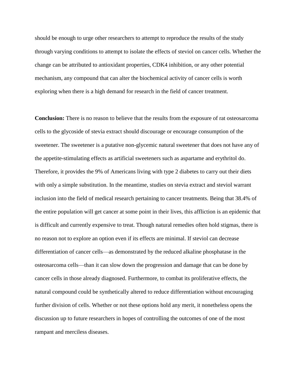should be enough to urge other researchers to attempt to reproduce the results of the study through varying conditions to attempt to isolate the effects of steviol on cancer cells. Whether the change can be attributed to antioxidant properties, CDK4 inhibition, or any other potential mechanism, any compound that can alter the biochemical activity of cancer cells is worth exploring when there is a high demand for research in the field of cancer treatment.

**Conclusion:** There is no reason to believe that the results from the exposure of rat osteosarcoma cells to the glycoside of stevia extract should discourage or encourage consumption of the sweetener. The sweetener is a putative non-glycemic natural sweetener that does not have any of the appetite-stimulating effects as artificial sweeteners such as aspartame and erythritol do. Therefore, it provides the 9% of Americans living with type 2 diabetes to carry out their diets with only a simple substitution. In the meantime, studies on stevia extract and steviol warrant inclusion into the field of medical research pertaining to cancer treatments. Being that 38.4% of the entire population will get cancer at some point in their lives, this affliction is an epidemic that is difficult and currently expensive to treat. Though natural remedies often hold stigmas, there is no reason not to explore an option even if its effects are minimal. If steviol can decrease differentiation of cancer cells—as demonstrated by the reduced alkaline phosphatase in the osteosarcoma cells—than it can slow down the progression and damage that can be done by cancer cells in those already diagnosed. Furthermore, to combat its proliferative effects, the natural compound could be synthetically altered to reduce differentiation without encouraging further division of cells. Whether or not these options hold any merit, it nonetheless opens the discussion up to future researchers in hopes of controlling the outcomes of one of the most rampant and merciless diseases.